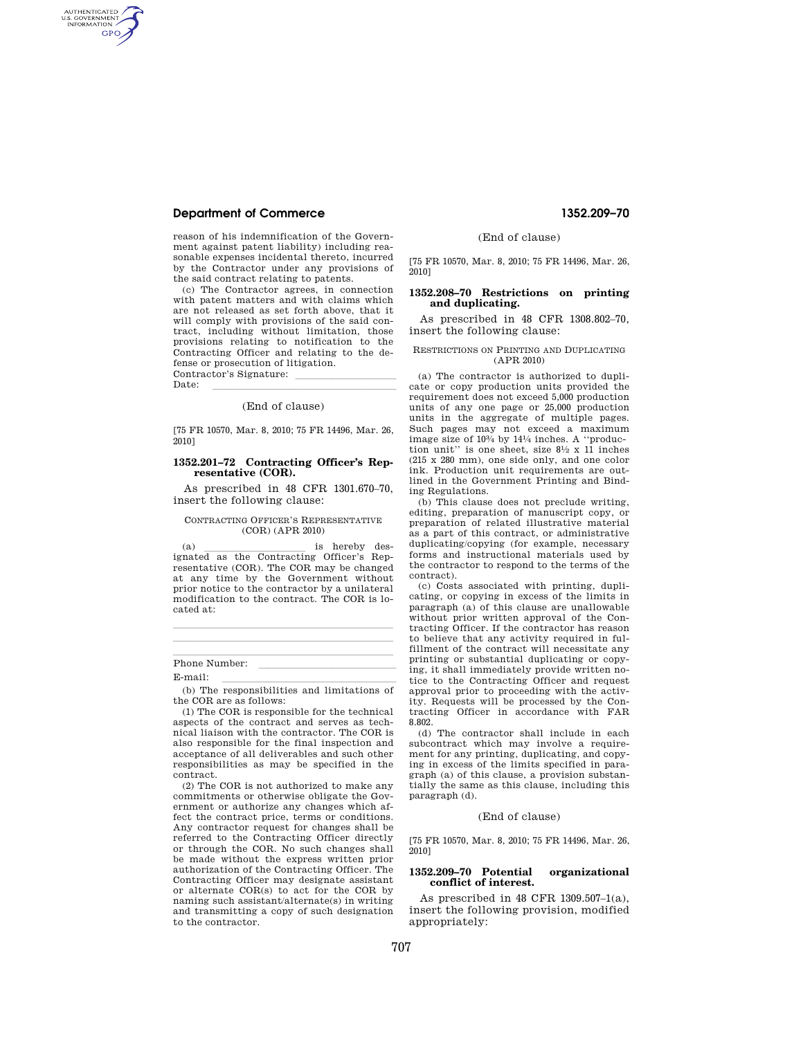# **Department of Commerce 1352.209–70**

AUTHENTICATED<br>U.S. GOVERNMENT<br>INFORMATION **GPO** 

> reason of his indemnification of the Government against patent liability) including reasonable expenses incidental thereto, incurred by the Contractor under any provisions of the said contract relating to patents.

> (c) The Contractor agrees, in connection with patent matters and with claims which are not released as set forth above, that it will comply with provisions of the said contract, including without limitation, those provisions relating to notification to the Contracting Officer and relating to the defense or prosecution of litigation.

> Contractor's Signature:<br>Date: Date: <u>llevel la communication</u>

> > (End of clause)

[75 FR 10570, Mar. 8, 2010; 75 FR 14496, Mar. 26, 2010]

# **1352.201–72 Contracting Officer's Representative (COR).**

As prescribed in 48 CFR 1301.670–70, insert the following clause:

## CONTRACTING OFFICER'S REPRESENTATIVE (COR) (APR 2010)

(a) is hereby des-<br>ignated as the Contracting Officer's Representative (COR). The COR may be changed at any time by the Government without prior notice to the contractor by a unilateral modification to the contract. The COR is located at:

lllalla sin anno 1980. I se anno 1980 anno 1980 anno 1980 anno 1980 anno 1980 anno 1980. llland av den stadsmannsna og stadsmannsna og stadsmannsna og stadsmannsna og stadsmannsna og stadsmannsna og

Phone Number: <br>E meil

E-mail:<br>(b) The responsibilities and limitations of the COR are as follows:

(1) The COR is responsible for the technical aspects of the contract and serves as technical liaison with the contractor. The COR is also responsible for the final inspection and acceptance of all deliverables and such other responsibilities as may be specified in the contract.

(2) The COR is not authorized to make any commitments or otherwise obligate the Government or authorize any changes which affect the contract price, terms or conditions. Any contractor request for changes shall be referred to the Contracting Officer directly or through the COR. No such changes shall be made without the express written prior authorization of the Contracting Officer. The Contracting Officer may designate assistant or alternate COR(s) to act for the COR by naming such assistant/alternate(s) in writing and transmitting a copy of such designation to the contractor.

(End of clause)

[75 FR 10570, Mar. 8, 2010; 75 FR 14496, Mar. 26, 2010]

## **1352.208–70 Restrictions on printing and duplicating.**

As prescribed in 48 CFR 1308.802–70, insert the following clause:

#### RESTRICTIONS ON PRINTING AND DUPLICATING (APR 2010)

(a) The contractor is authorized to duplicate or copy production units provided the requirement does not exceed 5,000 production units of any one page or 25,000 production units in the aggregate of multiple pages. Such pages may not exceed a maximum image size of 103⁄4 by 141⁄4 inches. A ''production unit'' is one sheet, size 81⁄2 x 11 inches (215 x 280 mm), one side only, and one color ink. Production unit requirements are outlined in the Government Printing and Binding Regulations.

(b) This clause does not preclude writing, editing, preparation of manuscript copy, or preparation of related illustrative material as a part of this contract, or administrative duplicating/copying (for example, necessary forms and instructional materials used by the contractor to respond to the terms of the contract).

(c) Costs associated with printing, duplicating, or copying in excess of the limits in paragraph (a) of this clause are unallowable without prior written approval of the Contracting Officer. If the contractor has reason to believe that any activity required in fulfillment of the contract will necessitate any printing or substantial duplicating or copying, it shall immediately provide written notice to the Contracting Officer and request approval prior to proceeding with the activity. Requests will be processed by the Contracting Officer in accordance with FAR 8.802.

(d) The contractor shall include in each subcontract which may involve a requirement for any printing, duplicating, and copying in excess of the limits specified in paragraph (a) of this clause, a provision substantially the same as this clause, including this paragraph (d).

### (End of clause)

[75 FR 10570, Mar. 8, 2010; 75 FR 14496, Mar. 26, 2010]

#### **1352.209–70 Potential organizational conflict of interest.**

As prescribed in 48 CFR 1309.507–1(a), insert the following provision, modified appropriately: